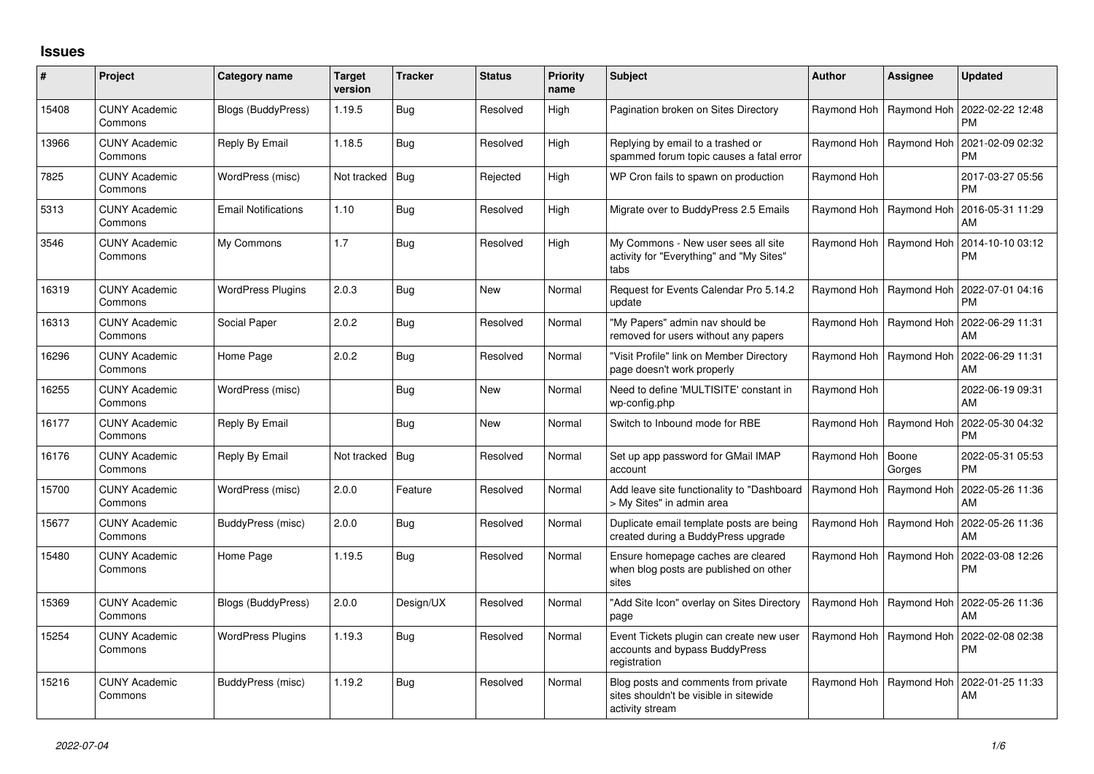## **Issues**

| #     | Project                         | Category name              | <b>Target</b><br>version | <b>Tracker</b> | <b>Status</b> | <b>Priority</b><br>name | <b>Subject</b>                                                                                    | <b>Author</b> | <b>Assignee</b> | <b>Updated</b>                |
|-------|---------------------------------|----------------------------|--------------------------|----------------|---------------|-------------------------|---------------------------------------------------------------------------------------------------|---------------|-----------------|-------------------------------|
| 15408 | <b>CUNY Academic</b><br>Commons | Blogs (BuddyPress)         | 1.19.5                   | Bug            | Resolved      | High                    | Pagination broken on Sites Directory                                                              | Raymond Hoh   | Raymond Hoh     | 2022-02-22 12:48<br><b>PM</b> |
| 13966 | <b>CUNY Academic</b><br>Commons | Reply By Email             | 1.18.5                   | Bug            | Resolved      | High                    | Replying by email to a trashed or<br>spammed forum topic causes a fatal error                     | Raymond Hoh   | Raymond Hoh     | 2021-02-09 02:32<br><b>PM</b> |
| 7825  | <b>CUNY Academic</b><br>Commons | WordPress (misc)           | Not tracked Bug          |                | Rejected      | High                    | WP Cron fails to spawn on production                                                              | Raymond Hoh   |                 | 2017-03-27 05:56<br><b>PM</b> |
| 5313  | <b>CUNY Academic</b><br>Commons | <b>Email Notifications</b> | 1.10                     | Bug            | Resolved      | High                    | Migrate over to BuddyPress 2.5 Emails                                                             | Raymond Hoh   | Raymond Hoh     | 2016-05-31 11:29<br>AM        |
| 3546  | <b>CUNY Academic</b><br>Commons | My Commons                 | 1.7                      | Bug            | Resolved      | High                    | My Commons - New user sees all site<br>activity for "Everything" and "My Sites"<br>tabs           | Raymond Hoh   | Raymond Hoh     | 2014-10-10 03:12<br>PM        |
| 16319 | <b>CUNY Academic</b><br>Commons | <b>WordPress Plugins</b>   | 2.0.3                    | Bug            | <b>New</b>    | Normal                  | Request for Events Calendar Pro 5.14.2<br>update                                                  | Raymond Hoh   | Raymond Hoh     | 2022-07-01 04:16<br><b>PM</b> |
| 16313 | <b>CUNY Academic</b><br>Commons | Social Paper               | 2.0.2                    | Bug            | Resolved      | Normal                  | "My Papers" admin nav should be<br>removed for users without any papers                           | Raymond Hoh   | Raymond Hoh     | 2022-06-29 11:31<br>AM        |
| 16296 | <b>CUNY Academic</b><br>Commons | Home Page                  | 2.0.2                    | <b>Bug</b>     | Resolved      | Normal                  | 'Visit Profile" link on Member Directory<br>page doesn't work properly                            | Raymond Hoh   | Raymond Hoh     | 2022-06-29 11:31<br>AM        |
| 16255 | <b>CUNY Academic</b><br>Commons | WordPress (misc)           |                          | Bug            | <b>New</b>    | Normal                  | Need to define 'MULTISITE' constant in<br>wp-config.php                                           | Raymond Hoh   |                 | 2022-06-19 09:31<br>AM        |
| 16177 | <b>CUNY Academic</b><br>Commons | Reply By Email             |                          | Bug            | <b>New</b>    | Normal                  | Switch to Inbound mode for RBE                                                                    | Raymond Hoh   | Raymond Hoh     | 2022-05-30 04:32<br><b>PM</b> |
| 16176 | <b>CUNY Academic</b><br>Commons | Reply By Email             | Not tracked   Bug        |                | Resolved      | Normal                  | Set up app password for GMail IMAP<br>account                                                     | Raymond Hoh   | Boone<br>Gorges | 2022-05-31 05:53<br>PM.       |
| 15700 | <b>CUNY Academic</b><br>Commons | WordPress (misc)           | 2.0.0                    | Feature        | Resolved      | Normal                  | Add leave site functionality to "Dashboard<br>> My Sites" in admin area                           | Raymond Hoh   | Raymond Hoh     | 2022-05-26 11:36<br>AM        |
| 15677 | <b>CUNY Academic</b><br>Commons | BuddyPress (misc)          | 2.0.0                    | Bug            | Resolved      | Normal                  | Duplicate email template posts are being<br>created during a BuddyPress upgrade                   | Raymond Hoh   | Raymond Hoh     | 2022-05-26 11:36<br>AM        |
| 15480 | <b>CUNY Academic</b><br>Commons | Home Page                  | 1.19.5                   | Bug            | Resolved      | Normal                  | Ensure homepage caches are cleared<br>when blog posts are published on other<br>sites             | Raymond Hoh   | Raymond Hoh     | 2022-03-08 12:26<br>PM        |
| 15369 | <b>CUNY Academic</b><br>Commons | Blogs (BuddyPress)         | 2.0.0                    | Design/UX      | Resolved      | Normal                  | "Add Site Icon" overlay on Sites Directory<br>page                                                | Raymond Hoh   | Raymond Hoh     | 2022-05-26 11:36<br>AM        |
| 15254 | <b>CUNY Academic</b><br>Commons | <b>WordPress Plugins</b>   | 1.19.3                   | Bug            | Resolved      | Normal                  | Event Tickets plugin can create new user<br>accounts and bypass BuddyPress<br>registration        | Raymond Hoh   | Raymond Hoh     | 2022-02-08 02:38<br>PM        |
| 15216 | <b>CUNY Academic</b><br>Commons | BuddyPress (misc)          | 1.19.2                   | Bug            | Resolved      | Normal                  | Blog posts and comments from private<br>sites shouldn't be visible in sitewide<br>activity stream | Raymond Hoh   | Raymond Hoh     | 2022-01-25 11:33<br>AM        |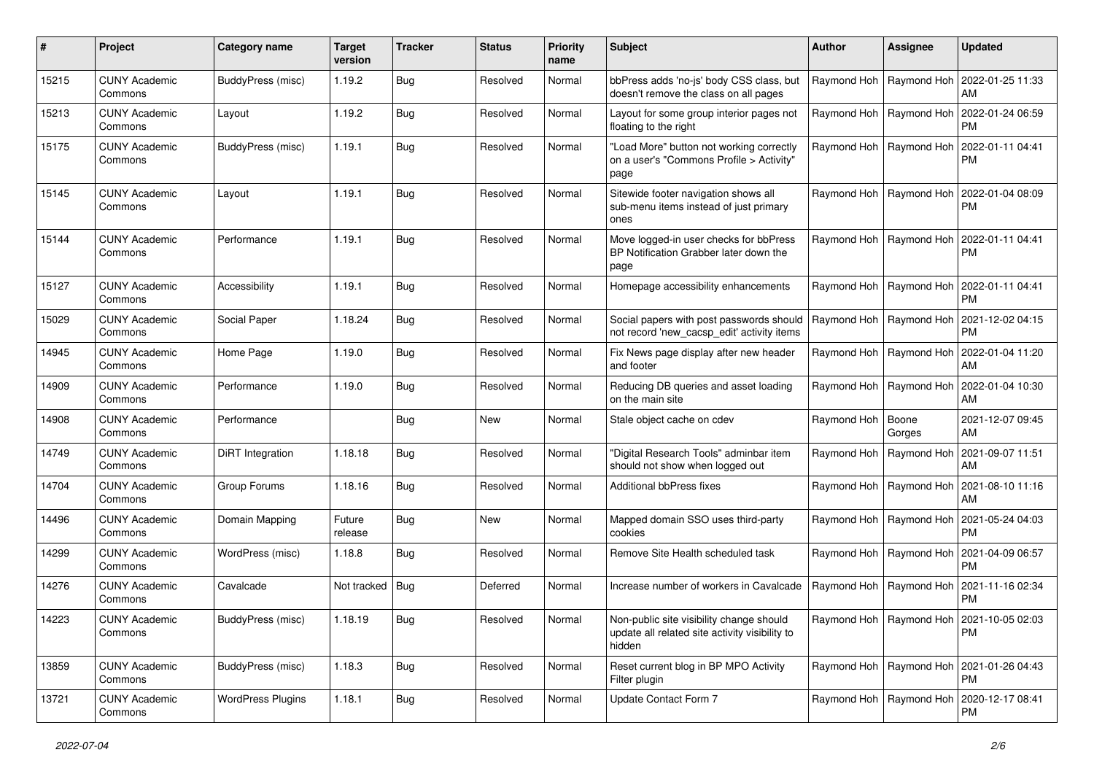| #     | Project                         | Category name            | <b>Target</b><br>version | <b>Tracker</b> | <b>Status</b> | <b>Priority</b><br>name | Subject                                                                                              | <b>Author</b>       | <b>Assignee</b>           | <b>Updated</b>                                            |
|-------|---------------------------------|--------------------------|--------------------------|----------------|---------------|-------------------------|------------------------------------------------------------------------------------------------------|---------------------|---------------------------|-----------------------------------------------------------|
| 15215 | <b>CUNY Academic</b><br>Commons | <b>BuddyPress (misc)</b> | 1.19.2                   | <b>Bug</b>     | Resolved      | Normal                  | bbPress adds 'no-js' body CSS class, but<br>doesn't remove the class on all pages                    |                     | Raymond Hoh   Raymond Hoh | 2022-01-25 11:33<br>AM                                    |
| 15213 | <b>CUNY Academic</b><br>Commons | Layout                   | 1.19.2                   | Bug            | Resolved      | Normal                  | Layout for some group interior pages not<br>floating to the right                                    |                     | Raymond Hoh   Raymond Hoh | 2022-01-24 06:59<br><b>PM</b>                             |
| 15175 | <b>CUNY Academic</b><br>Commons | <b>BuddyPress (misc)</b> | 1.19.1                   | <b>Bug</b>     | Resolved      | Normal                  | "Load More" button not working correctly<br>on a user's "Commons Profile > Activity"<br>page         |                     | Raymond Hoh   Raymond Hoh | 2022-01-11 04:41<br><b>PM</b>                             |
| 15145 | <b>CUNY Academic</b><br>Commons | Layout                   | 1.19.1                   | <b>Bug</b>     | Resolved      | Normal                  | Sitewide footer navigation shows all<br>sub-menu items instead of just primary<br>ones               |                     | Raymond Hoh   Raymond Hoh | 2022-01-04 08:09<br><b>PM</b>                             |
| 15144 | <b>CUNY Academic</b><br>Commons | Performance              | 1.19.1                   | <b>Bug</b>     | Resolved      | Normal                  | Move logged-in user checks for bbPress<br>BP Notification Grabber later down the<br>page             |                     | Raymond Hoh   Raymond Hoh | 2022-01-11 04:41<br>PM.                                   |
| 15127 | <b>CUNY Academic</b><br>Commons | Accessibility            | 1.19.1                   | Bug            | Resolved      | Normal                  | Homepage accessibility enhancements                                                                  |                     | Raymond Hoh   Raymond Hoh | 2022-01-11 04:41<br><b>PM</b>                             |
| 15029 | <b>CUNY Academic</b><br>Commons | Social Paper             | 1.18.24                  | Bug            | Resolved      | Normal                  | Social papers with post passwords should<br>not record 'new_cacsp_edit' activity items               |                     | Raymond Hoh   Raymond Hoh | 2021-12-02 04:15<br><b>PM</b>                             |
| 14945 | <b>CUNY Academic</b><br>Commons | Home Page                | 1.19.0                   | <b>Bug</b>     | Resolved      | Normal                  | Fix News page display after new header<br>and footer                                                 |                     | Raymond Hoh   Raymond Hoh | 2022-01-04 11:20<br>AM                                    |
| 14909 | <b>CUNY Academic</b><br>Commons | Performance              | 1.19.0                   | Bug            | Resolved      | Normal                  | Reducing DB queries and asset loading<br>on the main site                                            |                     | Raymond Hoh   Raymond Hoh | 2022-01-04 10:30<br>AM                                    |
| 14908 | <b>CUNY Academic</b><br>Commons | Performance              |                          | <b>Bug</b>     | New           | Normal                  | Stale object cache on cdev                                                                           | Raymond Hoh   Boone | Gorges                    | 2021-12-07 09:45<br>AM                                    |
| 14749 | <b>CUNY Academic</b><br>Commons | DiRT Integration         | 1.18.18                  | <b>Bug</b>     | Resolved      | Normal                  | "Digital Research Tools" adminbar item<br>should not show when logged out                            |                     | Raymond Hoh   Raymond Hoh | 2021-09-07 11:51<br>AM                                    |
| 14704 | <b>CUNY Academic</b><br>Commons | Group Forums             | 1.18.16                  | <b>Bug</b>     | Resolved      | Normal                  | Additional bbPress fixes                                                                             |                     | Raymond Hoh   Raymond Hoh | 2021-08-10 11:16<br>AM                                    |
| 14496 | <b>CUNY Academic</b><br>Commons | Domain Mapping           | Future<br>release        | Bug            | New           | Normal                  | Mapped domain SSO uses third-party<br>cookies                                                        |                     | Raymond Hoh   Raymond Hoh | 2021-05-24 04:03<br><b>PM</b>                             |
| 14299 | <b>CUNY Academic</b><br>Commons | WordPress (misc)         | 1.18.8                   | <b>Bug</b>     | Resolved      | Normal                  | Remove Site Health scheduled task                                                                    |                     | Raymond Hoh   Raymond Hoh | 2021-04-09 06:57<br><b>PM</b>                             |
| 14276 | <b>CUNY Academic</b><br>Commons | Cavalcade                | Not tracked   Bug        |                | Deferred      | Normal                  | Increase number of workers in Cavalcade                                                              |                     | Raymond Hoh   Raymond Hoh | 2021-11-16 02:34<br><b>PM</b>                             |
| 14223 | <b>CUNY Academic</b><br>Commons | BuddyPress (misc)        | 1.18.19                  | Bug            | Resolved      | Normal                  | Non-public site visibility change should<br>update all related site activity visibility to<br>hidden |                     |                           | Raymond Hoh   Raymond Hoh   2021-10-05 02:03<br>PM.       |
| 13859 | <b>CUNY Academic</b><br>Commons | BuddyPress (misc)        | 1.18.3                   | <b>Bug</b>     | Resolved      | Normal                  | Reset current blog in BP MPO Activity<br>Filter plugin                                               |                     |                           | Raymond Hoh   Raymond Hoh   2021-01-26 04:43<br><b>PM</b> |
| 13721 | <b>CUNY Academic</b><br>Commons | <b>WordPress Plugins</b> | 1.18.1                   | <b>Bug</b>     | Resolved      | Normal                  | Update Contact Form 7                                                                                |                     |                           | Raymond Hoh   Raymond Hoh   2020-12-17 08:41<br>PM        |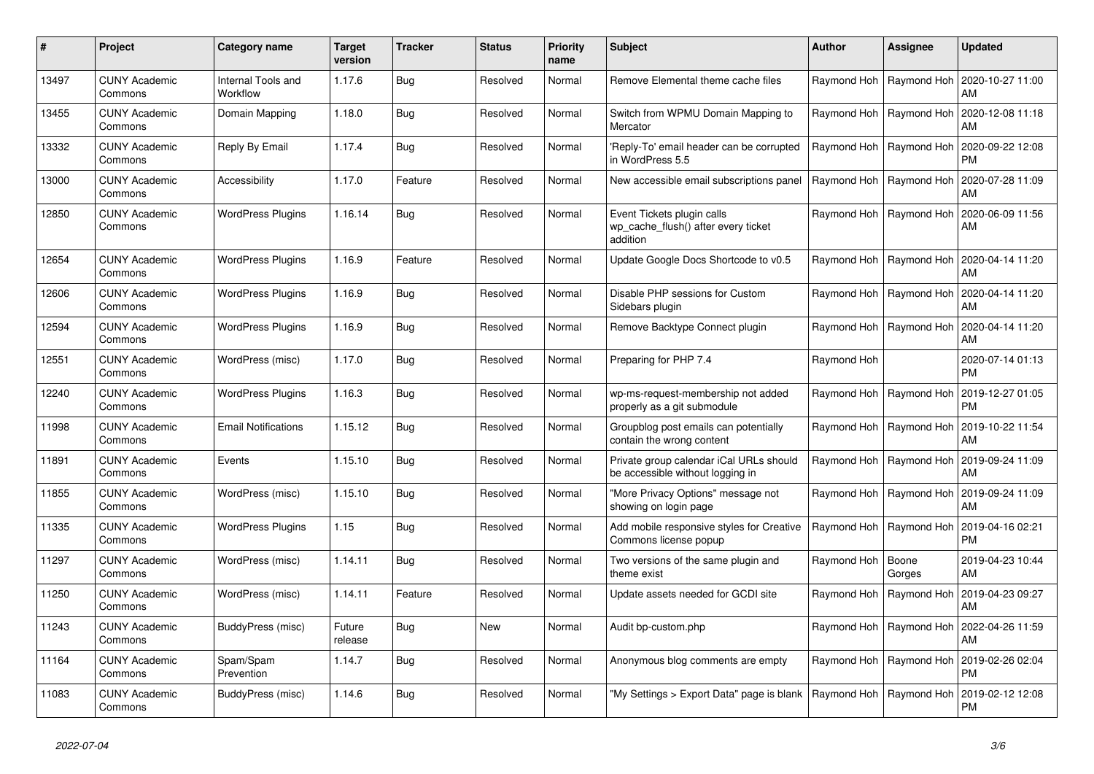| #     | Project                         | Category name                         | <b>Target</b><br>version | <b>Tracker</b> | <b>Status</b> | <b>Priority</b><br>name | <b>Subject</b>                                                                | <b>Author</b>             | Assignee                  | <b>Updated</b>                |
|-------|---------------------------------|---------------------------------------|--------------------------|----------------|---------------|-------------------------|-------------------------------------------------------------------------------|---------------------------|---------------------------|-------------------------------|
| 13497 | <b>CUNY Academic</b><br>Commons | <b>Internal Tools and</b><br>Workflow | 1.17.6                   | Bug            | Resolved      | Normal                  | Remove Elemental theme cache files                                            |                           | Raymond Hoh   Raymond Hoh | 2020-10-27 11:00<br>AM        |
| 13455 | <b>CUNY Academic</b><br>Commons | Domain Mapping                        | 1.18.0                   | Bug            | Resolved      | Normal                  | Switch from WPMU Domain Mapping to<br>Mercator                                |                           | Raymond Hoh   Raymond Hoh | 2020-12-08 11:18<br>AM        |
| 13332 | <b>CUNY Academic</b><br>Commons | Reply By Email                        | 1.17.4                   | <b>Bug</b>     | Resolved      | Normal                  | Reply-To' email header can be corrupted<br>in WordPress 5.5                   |                           | Raymond Hoh   Raymond Hoh | 2020-09-22 12:08<br><b>PM</b> |
| 13000 | <b>CUNY Academic</b><br>Commons | Accessibility                         | 1.17.0                   | Feature        | Resolved      | Normal                  | New accessible email subscriptions panel                                      |                           | Raymond Hoh   Raymond Hoh | 2020-07-28 11:09<br>AM        |
| 12850 | <b>CUNY Academic</b><br>Commons | <b>WordPress Plugins</b>              | 1.16.14                  | Bug            | Resolved      | Normal                  | Event Tickets plugin calls<br>wp cache flush() after every ticket<br>addition |                           | Raymond Hoh   Raymond Hoh | 2020-06-09 11:56<br>AM        |
| 12654 | <b>CUNY Academic</b><br>Commons | <b>WordPress Plugins</b>              | 1.16.9                   | Feature        | Resolved      | Normal                  | Update Google Docs Shortcode to v0.5                                          |                           | Raymond Hoh   Raymond Hoh | 2020-04-14 11:20<br>AM        |
| 12606 | <b>CUNY Academic</b><br>Commons | <b>WordPress Plugins</b>              | 1.16.9                   | <b>Bug</b>     | Resolved      | Normal                  | Disable PHP sessions for Custom<br>Sidebars plugin                            | Raymond Hoh               | Raymond Hoh               | 2020-04-14 11:20<br>AM        |
| 12594 | <b>CUNY Academic</b><br>Commons | <b>WordPress Plugins</b>              | 1.16.9                   | Bug            | Resolved      | Normal                  | Remove Backtype Connect plugin                                                |                           | Raymond Hoh   Raymond Hoh | 2020-04-14 11:20<br>AM        |
| 12551 | <b>CUNY Academic</b><br>Commons | WordPress (misc)                      | 1.17.0                   | Bug            | Resolved      | Normal                  | Preparing for PHP 7.4                                                         | Raymond Hoh               |                           | 2020-07-14 01:13<br><b>PM</b> |
| 12240 | <b>CUNY Academic</b><br>Commons | <b>WordPress Plugins</b>              | 1.16.3                   | <b>Bug</b>     | Resolved      | Normal                  | wp-ms-request-membership not added<br>properly as a git submodule             | Raymond Hoh               | Raymond Hoh               | 2019-12-27 01:05<br><b>PM</b> |
| 11998 | <b>CUNY Academic</b><br>Commons | <b>Email Notifications</b>            | 1.15.12                  | Bug            | Resolved      | Normal                  | Groupblog post emails can potentially<br>contain the wrong content            |                           | Raymond Hoh   Raymond Hoh | 2019-10-22 11:54<br>AM        |
| 11891 | <b>CUNY Academic</b><br>Commons | Events                                | 1.15.10                  | Bug            | Resolved      | Normal                  | Private group calendar iCal URLs should<br>be accessible without logging in   |                           | Raymond Hoh   Raymond Hoh | 2019-09-24 11:09<br>AM        |
| 11855 | <b>CUNY Academic</b><br>Commons | WordPress (misc)                      | 1.15.10                  | Bug            | Resolved      | Normal                  | "More Privacy Options" message not<br>showing on login page                   | Raymond Hoh               | Raymond Hoh               | 2019-09-24 11:09<br>AM        |
| 11335 | <b>CUNY Academic</b><br>Commons | <b>WordPress Plugins</b>              | 1.15                     | Bug            | Resolved      | Normal                  | Add mobile responsive styles for Creative<br>Commons license popup            | Raymond Hoh               | Raymond Hoh               | 2019-04-16 02:21<br><b>PM</b> |
| 11297 | <b>CUNY Academic</b><br>Commons | WordPress (misc)                      | 1.14.11                  | Bug            | Resolved      | Normal                  | Two versions of the same plugin and<br>theme exist                            | Raymond Hoh               | Boone<br>Gorges           | 2019-04-23 10:44<br>AM        |
| 11250 | <b>CUNY Academic</b><br>Commons | WordPress (misc)                      | 1.14.11                  | Feature        | Resolved      | Normal                  | Update assets needed for GCDI site                                            | Raymond Hoh               | Raymond Hoh               | 2019-04-23 09:27<br>AM        |
| 11243 | <b>CUNY Academic</b><br>Commons | BuddyPress (misc)                     | Future<br>release        | Bug            | <b>New</b>    | Normal                  | Audit bp-custom.php                                                           |                           | Raymond Hoh   Raymond Hoh | 2022-04-26 11:59<br>AM        |
| 11164 | <b>CUNY Academic</b><br>Commons | Spam/Spam<br>Prevention               | 1.14.7                   | Bug            | Resolved      | Normal                  | Anonymous blog comments are empty                                             |                           | Raymond Hoh   Raymond Hoh | 2019-02-26 02:04<br><b>PM</b> |
| 11083 | <b>CUNY Academic</b><br>Commons | BuddyPress (misc)                     | 1.14.6                   | Bug            | Resolved      | Normal                  | "My Settings > Export Data" page is blank                                     | Raymond Hoh   Raymond Hoh |                           | 2019-02-12 12:08<br><b>PM</b> |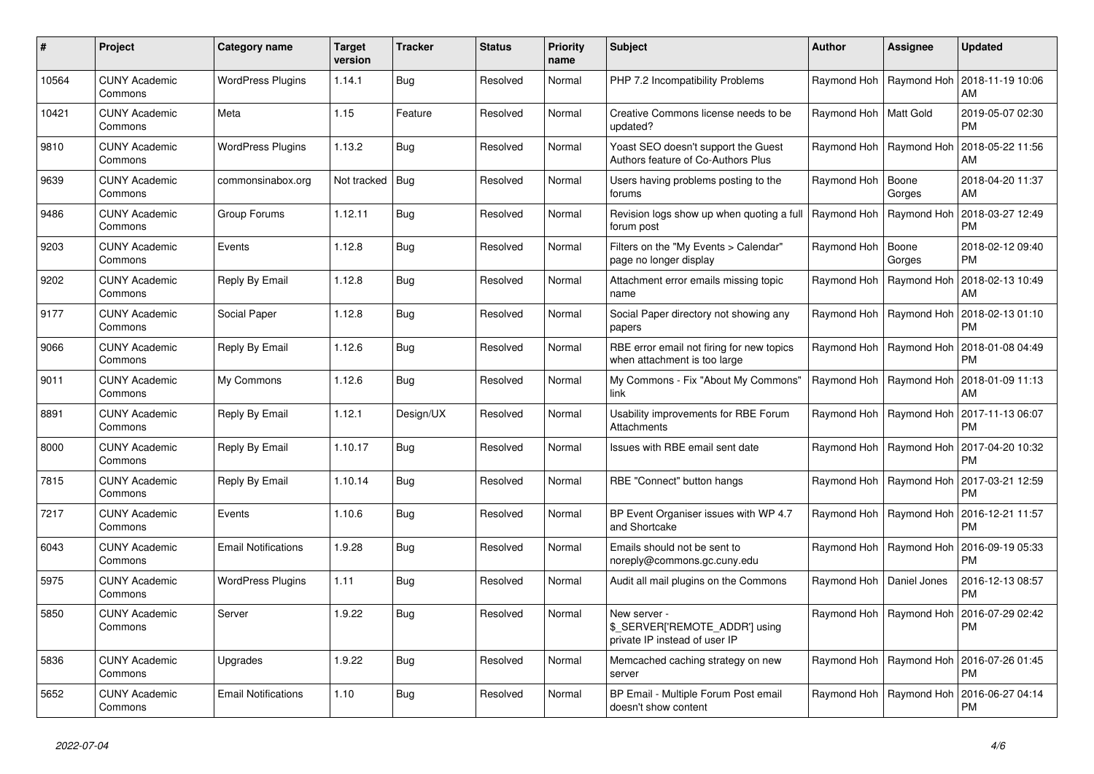| #     | Project                         | Category name              | Target<br>version | Tracker    | <b>Status</b> | <b>Priority</b><br>name | <b>Subject</b>                                                                  | Author                     | Assignee                  | <b>Updated</b>                |
|-------|---------------------------------|----------------------------|-------------------|------------|---------------|-------------------------|---------------------------------------------------------------------------------|----------------------------|---------------------------|-------------------------------|
| 10564 | <b>CUNY Academic</b><br>Commons | <b>WordPress Plugins</b>   | 1.14.1            | Bug        | Resolved      | Normal                  | PHP 7.2 Incompatibility Problems                                                |                            | Raymond Hoh   Raymond Hoh | 2018-11-19 10:06<br>AM        |
| 10421 | <b>CUNY Academic</b><br>Commons | Meta                       | 1.15              | Feature    | Resolved      | Normal                  | Creative Commons license needs to be<br>updated?                                | Raymond Hoh   Matt Gold    |                           | 2019-05-07 02:30<br><b>PM</b> |
| 9810  | <b>CUNY Academic</b><br>Commons | <b>WordPress Plugins</b>   | 1.13.2            | Bug        | Resolved      | Normal                  | Yoast SEO doesn't support the Guest<br>Authors feature of Co-Authors Plus       |                            | Raymond Hoh   Raymond Hoh | 2018-05-22 11:56<br>AM        |
| 9639  | <b>CUNY Academic</b><br>Commons | commonsinabox.org          | Not tracked   Bug |            | Resolved      | Normal                  | Users having problems posting to the<br>forums                                  | Raymond Hoh                | Boone<br>Gorges           | 2018-04-20 11:37<br>AM        |
| 9486  | <b>CUNY Academic</b><br>Commons | Group Forums               | 1.12.11           | Bug        | Resolved      | Normal                  | Revision logs show up when quoting a full<br>forum post                         | Raymond Hoh                | Raymond Hoh               | 2018-03-27 12:49<br><b>PM</b> |
| 9203  | <b>CUNY Academic</b><br>Commons | Events                     | 1.12.8            | <b>Bug</b> | Resolved      | Normal                  | Filters on the "My Events > Calendar"<br>page no longer display                 | Raymond Hoh                | Boone<br>Gorges           | 2018-02-12 09:40<br><b>PM</b> |
| 9202  | <b>CUNY Academic</b><br>Commons | Reply By Email             | 1.12.8            | <b>Bug</b> | Resolved      | Normal                  | Attachment error emails missing topic<br>name                                   | Raymond Hoh                | Raymond Hoh               | 2018-02-13 10:49<br>AM        |
| 9177  | <b>CUNY Academic</b><br>Commons | Social Paper               | 1.12.8            | Bug        | Resolved      | Normal                  | Social Paper directory not showing any<br>papers                                |                            | Raymond Hoh   Raymond Hoh | 2018-02-13 01:10<br>PM        |
| 9066  | <b>CUNY Academic</b><br>Commons | Reply By Email             | 1.12.6            | <b>Bug</b> | Resolved      | Normal                  | RBE error email not firing for new topics<br>when attachment is too large       | Raymond Hoh                | Raymond Hoh               | 2018-01-08 04:49<br><b>PM</b> |
| 9011  | <b>CUNY Academic</b><br>Commons | My Commons                 | 1.12.6            | Bug        | Resolved      | Normal                  | My Commons - Fix "About My Commons"<br>link                                     |                            | Raymond Hoh   Raymond Hoh | 2018-01-09 11:13<br>AM        |
| 8891  | <b>CUNY Academic</b><br>Commons | Reply By Email             | 1.12.1            | Design/UX  | Resolved      | Normal                  | Usability improvements for RBE Forum<br>Attachments                             |                            | Raymond Hoh   Raymond Hoh | 2017-11-13 06:07<br><b>PM</b> |
| 8000  | <b>CUNY Academic</b><br>Commons | Reply By Email             | 1.10.17           | Bug        | Resolved      | Normal                  | Issues with RBE email sent date                                                 |                            | Raymond Hoh   Raymond Hoh | 2017-04-20 10:32<br><b>PM</b> |
| 7815  | <b>CUNY Academic</b><br>Commons | Reply By Email             | 1.10.14           | Bug        | Resolved      | Normal                  | RBE "Connect" button hangs                                                      |                            | Raymond Hoh   Raymond Hoh | 2017-03-21 12:59<br><b>PM</b> |
| 7217  | <b>CUNY Academic</b><br>Commons | Events                     | 1.10.6            | Bug        | Resolved      | Normal                  | BP Event Organiser issues with WP 4.7<br>and Shortcake                          |                            | Raymond Hoh   Raymond Hoh | 2016-12-21 11:57<br><b>PM</b> |
| 6043  | <b>CUNY Academic</b><br>Commons | <b>Email Notifications</b> | 1.9.28            | Bug        | Resolved      | Normal                  | Emails should not be sent to<br>noreply@commons.gc.cuny.edu                     |                            | Raymond Hoh   Raymond Hoh | 2016-09-19 05:33<br><b>PM</b> |
| 5975  | <b>CUNY Academic</b><br>Commons | <b>WordPress Plugins</b>   | 1.11              | Bug        | Resolved      | Normal                  | Audit all mail plugins on the Commons                                           | Raymond Hoh   Daniel Jones |                           | 2016-12-13 08:57<br><b>PM</b> |
| 5850  | <b>CUNY Academic</b><br>Commons | Server                     | 1.9.22            | Bug        | Resolved      | Normal                  | New server -<br>\$_SERVER['REMOTE_ADDR'] using<br>private IP instead of user IP | Raymond Hoh   Raymond Hoh  |                           | 2016-07-29 02:42<br><b>PM</b> |
| 5836  | <b>CUNY Academic</b><br>Commons | Upgrades                   | 1.9.22            | Bug        | Resolved      | Normal                  | Memcached caching strategy on new<br>server                                     |                            | Raymond Hoh   Raymond Hoh | 2016-07-26 01:45<br><b>PM</b> |
| 5652  | CUNY Academic<br>Commons        | <b>Email Notifications</b> | 1.10              | Bug        | Resolved      | Normal                  | BP Email - Multiple Forum Post email<br>doesn't show content                    |                            | Raymond Hoh   Raymond Hoh | 2016-06-27 04:14<br><b>PM</b> |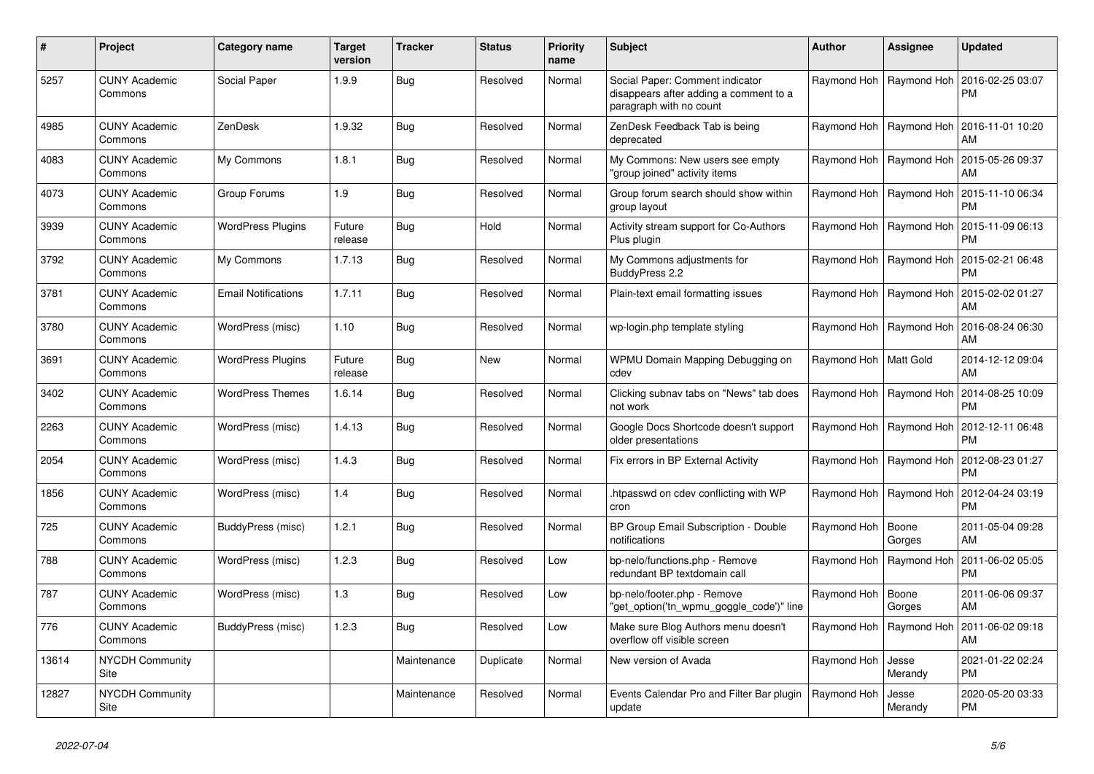| #     | Project                         | Category name              | <b>Target</b><br>version | <b>Tracker</b> | <b>Status</b> | <b>Priority</b><br>name | <b>Subject</b>                                                                                       | <b>Author</b>             | Assignee                  | <b>Updated</b>                                            |
|-------|---------------------------------|----------------------------|--------------------------|----------------|---------------|-------------------------|------------------------------------------------------------------------------------------------------|---------------------------|---------------------------|-----------------------------------------------------------|
| 5257  | <b>CUNY Academic</b><br>Commons | Social Paper               | 1.9.9                    | Bug            | Resolved      | Normal                  | Social Paper: Comment indicator<br>disappears after adding a comment to a<br>paragraph with no count |                           | Raymond Hoh   Raymond Hoh | 2016-02-25 03:07<br><b>PM</b>                             |
| 4985  | <b>CUNY Academic</b><br>Commons | ZenDesk                    | 1.9.32                   | Bug            | Resolved      | Normal                  | ZenDesk Feedback Tab is being<br>deprecated                                                          |                           |                           | Raymond Hoh   Raymond Hoh   2016-11-01 10:20<br>AM        |
| 4083  | <b>CUNY Academic</b><br>Commons | My Commons                 | 1.8.1                    | Bug            | Resolved      | Normal                  | My Commons: New users see empty<br>'group joined" activity items                                     |                           | Raymond Hoh   Raymond Hoh | 2015-05-26 09:37<br>AM                                    |
| 4073  | <b>CUNY Academic</b><br>Commons | Group Forums               | 1.9                      | Bug            | Resolved      | Normal                  | Group forum search should show within<br>group layout                                                |                           | Raymond Hoh   Raymond Hoh | 2015-11-10 06:34<br><b>PM</b>                             |
| 3939  | <b>CUNY Academic</b><br>Commons | <b>WordPress Plugins</b>   | Future<br>release        | Bug            | Hold          | Normal                  | Activity stream support for Co-Authors<br>Plus plugin                                                |                           |                           | Raymond Hoh   Raymond Hoh   2015-11-09 06:13<br><b>PM</b> |
| 3792  | <b>CUNY Academic</b><br>Commons | My Commons                 | 1.7.13                   | Bug            | Resolved      | Normal                  | My Commons adjustments for<br>BuddyPress 2.2                                                         |                           | Raymond Hoh   Raymond Hoh | 2015-02-21 06:48<br><b>PM</b>                             |
| 3781  | <b>CUNY Academic</b><br>Commons | <b>Email Notifications</b> | 1.7.11                   | Bug            | Resolved      | Normal                  | Plain-text email formatting issues                                                                   | Raymond Hoh               | Raymond Hoh               | 2015-02-02 01:27<br>AM                                    |
| 3780  | <b>CUNY Academic</b><br>Commons | WordPress (misc)           | 1.10                     | Bug            | Resolved      | Normal                  | wp-login.php template styling                                                                        |                           | Raymond Hoh   Raymond Hoh | 2016-08-24 06:30<br>AM                                    |
| 3691  | <b>CUNY Academic</b><br>Commons | <b>WordPress Plugins</b>   | Future<br>release        | Bug            | New           | Normal                  | WPMU Domain Mapping Debugging on<br>cdev                                                             | Raymond Hoh   Matt Gold   |                           | 2014-12-12 09:04<br>AM                                    |
| 3402  | <b>CUNY Academic</b><br>Commons | <b>WordPress Themes</b>    | 1.6.14                   | Bug            | Resolved      | Normal                  | Clicking subnav tabs on "News" tab does<br>not work                                                  | Raymond Hoh   Raymond Hoh |                           | 2014-08-25 10:09<br><b>PM</b>                             |
| 2263  | <b>CUNY Academic</b><br>Commons | WordPress (misc)           | 1.4.13                   | Bug            | Resolved      | Normal                  | Google Docs Shortcode doesn't support<br>older presentations                                         |                           | Raymond Hoh   Raymond Hoh | 2012-12-11 06:48<br><b>PM</b>                             |
| 2054  | <b>CUNY Academic</b><br>Commons | WordPress (misc)           | 1.4.3                    | Bug            | Resolved      | Normal                  | Fix errors in BP External Activity                                                                   |                           | Raymond Hoh   Raymond Hoh | 2012-08-23 01:27<br><b>PM</b>                             |
| 1856  | <b>CUNY Academic</b><br>Commons | WordPress (misc)           | 1.4                      | Bug            | Resolved      | Normal                  | htpasswd on cdev conflicting with WP<br>cron                                                         |                           | Raymond Hoh   Raymond Hoh | 2012-04-24 03:19<br><b>PM</b>                             |
| 725   | CUNY Academic<br>Commons        | BuddyPress (misc)          | 1.2.1                    | Bug            | Resolved      | Normal                  | BP Group Email Subscription - Double<br>notifications                                                | Raymond Hoh               | Boone<br>Gorges           | 2011-05-04 09:28<br>AM                                    |
| 788   | <b>CUNY Academic</b><br>Commons | WordPress (misc)           | 1.2.3                    | Bug            | Resolved      | Low                     | bp-nelo/functions.php - Remove<br>redundant BP textdomain call                                       |                           | Raymond Hoh   Raymond Hoh | 2011-06-02 05:05<br><b>PM</b>                             |
| 787   | <b>CUNY Academic</b><br>Commons | WordPress (misc)           | 1.3                      | Bug            | Resolved      | Low                     | bp-nelo/footer.php - Remove<br>'get_option('tn_wpmu_goggle_code')" line                              | Raymond Hoh               | Boone<br>Gorges           | 2011-06-06 09:37<br>AM                                    |
| 776   | <b>CUNY Academic</b><br>Commons | BuddyPress (misc)          | 1.2.3                    | Bug            | Resolved      | Low                     | Make sure Blog Authors menu doesn't<br>overflow off visible screen                                   | Raymond Hoh               | Raymond Hoh               | 2011-06-02 09:18<br>AM                                    |
| 13614 | <b>NYCDH Community</b><br>Site  |                            |                          | Maintenance    | Duplicate     | Normal                  | New version of Avada                                                                                 | Raymond Hoh               | Jesse<br>Merandy          | 2021-01-22 02:24<br><b>PM</b>                             |
| 12827 | NYCDH Community<br>Site         |                            |                          | Maintenance    | Resolved      | Normal                  | Events Calendar Pro and Filter Bar plugin<br>update                                                  | Raymond Hoh               | Jesse<br>Merandy          | 2020-05-20 03:33<br><b>PM</b>                             |